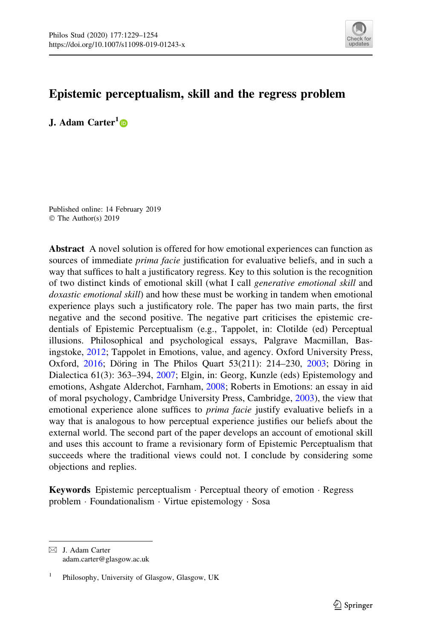

# Epistemic perceptualism, skill and the regress problem

J. Adam Carter<sup>1</sup> $\bullet$ 

Published online: 14 February 2019 © The Author(s) 2019

Abstract A novel solution is offered for how emotional experiences can function as sources of immediate *prima facie* justification for evaluative beliefs, and in such a way that suffices to halt a justificatory regress. Key to this solution is the recognition of two distinct kinds of emotional skill (what I call generative emotional skill and doxastic emotional skill) and how these must be working in tandem when emotional experience plays such a justificatory role. The paper has two main parts, the first negative and the second positive. The negative part criticises the epistemic credentials of Epistemic Perceptualism (e.g., Tappolet, in: Clotilde (ed) Perceptual illusions. Philosophical and psychological essays, Palgrave Macmillan, Basingstoke, [2012](#page-25-0); Tappolet in Emotions, value, and agency. Oxford University Press, Oxford, [2016](#page-25-0); Döring in The Philos Quart 53(211): 214–230, [2003;](#page-23-0) Döring in Dialectica 61(3): 363–394, [2007;](#page-24-0) Elgin, in: Georg, Kunzle (eds) Epistemology and emotions, Ashgate Alderchot, Farnham, [2008;](#page-24-0) Roberts in Emotions: an essay in aid of moral psychology, Cambridge University Press, Cambridge, [2003\)](#page-24-0), the view that emotional experience alone suffices to *prima facie* justify evaluative beliefs in a way that is analogous to how perceptual experience justifies our beliefs about the external world. The second part of the paper develops an account of emotional skill and uses this account to frame a revisionary form of Epistemic Perceptualism that succeeds where the traditional views could not. I conclude by considering some objections and replies.

Keywords Epistemic perceptualism · Perceptual theory of emotion · Regress problem - Foundationalism - Virtue epistemology - Sosa

 $\boxtimes$  J. Adam Carter adam.carter@glasgow.ac.uk

<sup>&</sup>lt;sup>1</sup> Philosophy, University of Glasgow, Glasgow, UK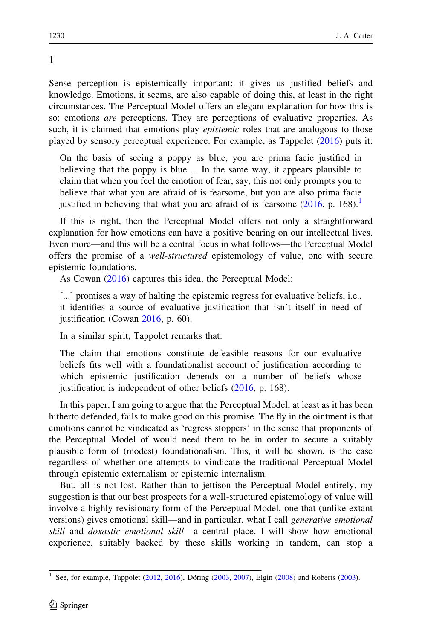Sense perception is epistemically important: it gives us justified beliefs and knowledge. Emotions, it seems, are also capable of doing this, at least in the right circumstances. The Perceptual Model offers an elegant explanation for how this is so: emotions are perceptions. They are perceptions of evaluative properties. As such, it is claimed that emotions play *epistemic* roles that are analogous to those played by sensory perceptual experience. For example, as Tappolet  $(2016)$  $(2016)$  puts it:

On the basis of seeing a poppy as blue, you are prima facie justified in believing that the poppy is blue ... In the same way, it appears plausible to claim that when you feel the emotion of fear, say, this not only prompts you to believe that what you are afraid of is fearsome, but you are also prima facie justified in believing that what you are afraid of is fearsome  $(2016, p. 168)$  $(2016, p. 168)$  $(2016, p. 168)$ .

If this is right, then the Perceptual Model offers not only a straightforward explanation for how emotions can have a positive bearing on our intellectual lives. Even more—and this will be a central focus in what follows—the Perceptual Model offers the promise of a well-structured epistemology of value, one with secure epistemic foundations.

As Cowan ([2016\)](#page-23-0) captures this idea, the Perceptual Model:

[...] promises a way of halting the epistemic regress for evaluative beliefs, i.e., it identifies a source of evaluative justification that isn't itself in need of justification (Cowan [2016,](#page-23-0) p. 60).

In a similar spirit, Tappolet remarks that:

The claim that emotions constitute defeasible reasons for our evaluative beliefs fits well with a foundationalist account of justification according to which epistemic justification depends on a number of beliefs whose justification is independent of other beliefs [\(2016](#page-25-0), p. 168).

In this paper, I am going to argue that the Perceptual Model, at least as it has been hitherto defended, fails to make good on this promise. The fly in the ointment is that emotions cannot be vindicated as 'regress stoppers' in the sense that proponents of the Perceptual Model of would need them to be in order to secure a suitably plausible form of (modest) foundationalism. This, it will be shown, is the case regardless of whether one attempts to vindicate the traditional Perceptual Model through epistemic externalism or epistemic internalism.

But, all is not lost. Rather than to jettison the Perceptual Model entirely, my suggestion is that our best prospects for a well-structured epistemology of value will involve a highly revisionary form of the Perceptual Model, one that (unlike extant versions) gives emotional skill—and in particular, what I call generative emotional skill and doxastic emotional skill—a central place. I will show how emotional experience, suitably backed by these skills working in tandem, can stop a

<sup>&</sup>lt;sup>1</sup> See, for example, Tappolet [\(2012](#page-25-0), [2016\)](#page-25-0), Döring [\(2003,](#page-23-0) [2007](#page-24-0)), Elgin [\(2008](#page-24-0)) and Roberts ([2003\)](#page-24-0).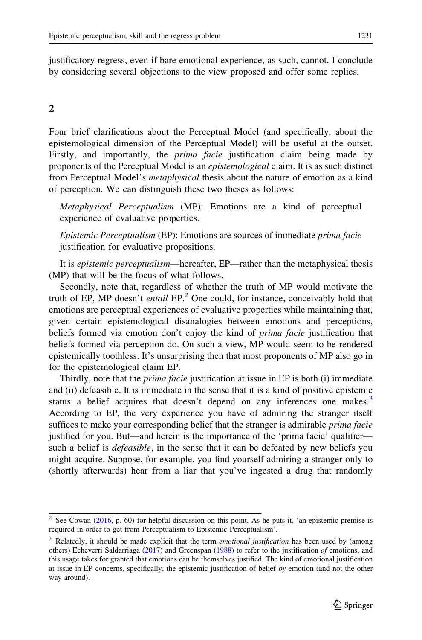justificatory regress, even if bare emotional experience, as such, cannot. I conclude by considering several objections to the view proposed and offer some replies.

## 2

Four brief clarifications about the Perceptual Model (and specifically, about the epistemological dimension of the Perceptual Model) will be useful at the outset. Firstly, and importantly, the *prima facie* justification claim being made by proponents of the Perceptual Model is an epistemological claim. It is as such distinct from Perceptual Model's metaphysical thesis about the nature of emotion as a kind of perception. We can distinguish these two theses as follows:

Metaphysical Perceptualism (MP): Emotions are a kind of perceptual experience of evaluative properties.

Epistemic Perceptualism (EP): Emotions are sources of immediate prima facie justification for evaluative propositions.

It is epistemic perceptualism—hereafter, EP—rather than the metaphysical thesis (MP) that will be the focus of what follows.

Secondly, note that, regardless of whether the truth of MP would motivate the truth of EP, MP doesn't *entail* EP.<sup>2</sup> One could, for instance, conceivably hold that emotions are perceptual experiences of evaluative properties while maintaining that, given certain epistemological disanalogies between emotions and perceptions, beliefs formed via emotion don't enjoy the kind of *prima facie* justification that beliefs formed via perception do. On such a view, MP would seem to be rendered epistemically toothless. It's unsurprising then that most proponents of MP also go in for the epistemological claim EP.

Thirdly, note that the *prima facie* justification at issue in EP is both (i) immediate and (ii) defeasible. It is immediate in the sense that it is a kind of positive epistemic status a belief acquires that doesn't depend on any inferences one makes.<sup>3</sup> According to EP, the very experience you have of admiring the stranger itself suffices to make your corresponding belief that the stranger is admirable *prima facie* justified for you. But—and herein is the importance of the 'prima facie' qualifier such a belief is *defeasible*, in the sense that it can be defeated by new beliefs you might acquire. Suppose, for example, you find yourself admiring a stranger only to (shortly afterwards) hear from a liar that you've ingested a drug that randomly

<sup>&</sup>lt;sup>2</sup> See Cowan ( $2016$ , p. 60) for helpful discussion on this point. As he puts it, 'an epistemic premise is required in order to get from Perceptualism to Epistemic Perceptualism'.

 $3$  Relatedly, it should be made explicit that the term *emotional justification* has been used by (among others) Echeverri Saldarriaga ([2017\)](#page-24-0) and Greenspan [\(1988](#page-24-0)) to refer to the justification of emotions, and this usage takes for granted that emotions can be themselves justified. The kind of emotional justification at issue in EP concerns, specifically, the epistemic justification of belief by emotion (and not the other way around).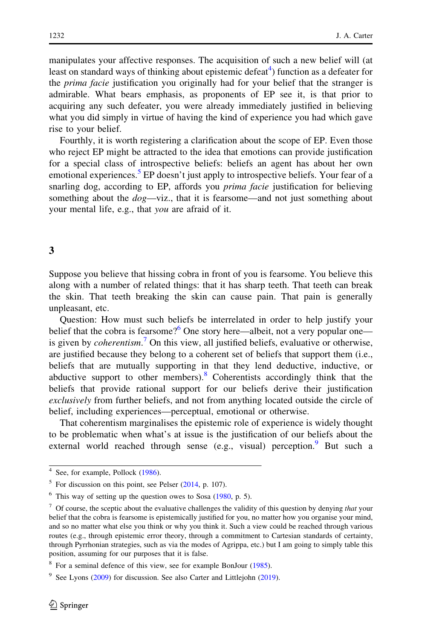manipulates your affective responses. The acquisition of such a new belief will (at least on standard ways of thinking about epistemic defeat<sup>4</sup>) function as a defeater for the *prima facie* justification you originally had for your belief that the stranger is admirable. What bears emphasis, as proponents of EP see it, is that prior to acquiring any such defeater, you were already immediately justified in believing what you did simply in virtue of having the kind of experience you had which gave rise to your belief.

Fourthly, it is worth registering a clarification about the scope of EP. Even those who reject EP might be attracted to the idea that emotions can provide justification for a special class of introspective beliefs: beliefs an agent has about her own emotional experiences.<sup>5</sup> EP doesn't just apply to introspective beliefs. Your fear of a snarling dog, according to EP, affords you *prima facie* justification for believing something about the *dog*—viz., that it is fearsome—and not just something about your mental life, e.g., that you are afraid of it.

## 3

Suppose you believe that hissing cobra in front of you is fearsome. You believe this along with a number of related things: that it has sharp teeth. That teeth can break the skin. That teeth breaking the skin can cause pain. That pain is generally unpleasant, etc.

Question: How must such beliefs be interrelated in order to help justify your belief that the cobra is fearsome?<sup>6</sup> One story here—albeit, not a very popular one is given by *coherentism*.<sup>7</sup> On this view, all justified beliefs, evaluative or otherwise, are justified because they belong to a coherent set of beliefs that support them (i.e., beliefs that are mutually supporting in that they lend deductive, inductive, or abductive support to other members).<sup>8</sup> Coherentists accordingly think that the beliefs that provide rational support for our beliefs derive their justification exclusively from further beliefs, and not from anything located outside the circle of belief, including experiences—perceptual, emotional or otherwise.

That coherentism marginalises the epistemic role of experience is widely thought to be problematic when what's at issue is the justification of our beliefs about the external world reached through sense (e.g., visual) perception.<sup>9</sup> But such a

<sup>4</sup> See, for example, Pollock [\(1986](#page-24-0)).

<sup>5</sup> For discussion on this point, see Pelser ([2014,](#page-24-0) p. 107).

 $6$  This way of setting up the question owes to Sosa  $(1980, p. 5)$  $(1980, p. 5)$  $(1980, p. 5)$ .

 $7$  Of course, the sceptic about the evaluative challenges the validity of this question by denying that your belief that the cobra is fearsome is epistemically justified for you, no matter how you organise your mind, and so no matter what else you think or why you think it. Such a view could be reached through various routes (e.g., through epistemic error theory, through a commitment to Cartesian standards of certainty, through Pyrrhonian strategies, such as via the modes of Agrippa, etc.) but I am going to simply table this position, assuming for our purposes that it is false.

<sup>&</sup>lt;sup>8</sup> For a seminal defence of this view, see for example BonJour [\(1985\)](#page-23-0).

 $9\text{ See Lyons } (2009)$  $9\text{ See Lyons } (2009)$  $9\text{ See Lyons } (2009)$  for discussion. See also Carter and Littlejohn [\(2019](#page-23-0)).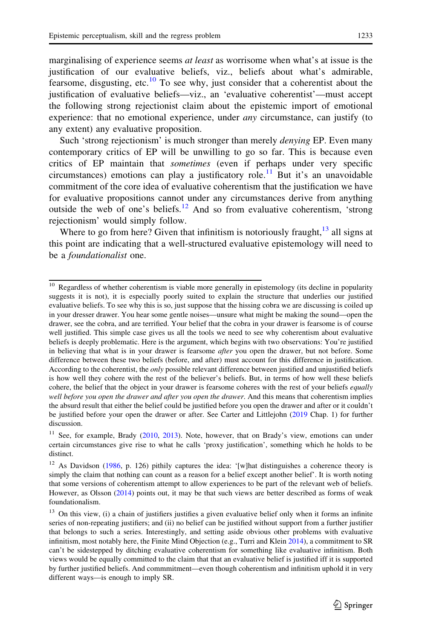marginalising of experience seems *at least* as worrisome when what's at issue is the justification of our evaluative beliefs, viz., beliefs about what's admirable, fearsome, disgusting, etc. $^{10}$  To see why, just consider that a coherentist about the justification of evaluative beliefs—viz., an 'evaluative coherentist'—must accept the following strong rejectionist claim about the epistemic import of emotional experience: that no emotional experience, under *any* circumstance, can justify (to any extent) any evaluative proposition.

Such 'strong rejectionism' is much stronger than merely *denying* EP. Even many contemporary critics of EP will be unwilling to go so far. This is because even critics of EP maintain that sometimes (even if perhaps under very specific circumstances) emotions can play a justificatory role.<sup>11</sup> But it's an unavoidable commitment of the core idea of evaluative coherentism that the justification we have for evaluative propositions cannot under any circumstances derive from anything outside the web of one's beliefs.<sup>12</sup> And so from evaluative coherentism, 'strong rejectionism' would simply follow.

Where to go from here? Given that infinitism is notoriously fraught, $^{13}$  all signs at this point are indicating that a well-structured evaluative epistemology will need to be a foundationalist one.

 $10$  Regardless of whether coherentism is viable more generally in epistemology (its decline in popularity suggests it is not), it is especially poorly suited to explain the structure that underlies our justified evaluative beliefs. To see why this is so, just suppose that the hissing cobra we are discussing is coiled up in your dresser drawer. You hear some gentle noises—unsure what might be making the sound—open the drawer, see the cobra, and are terrified. Your belief that the cobra in your drawer is fearsome is of course well justified. This simple case gives us all the tools we need to see why coherentism about evaluative beliefs is deeply problematic. Here is the argument, which begins with two observations: You're justified in believing that what is in your drawer is fearsome *after* you open the drawer, but not before. Some difference between these two beliefs (before, and after) must account for this difference in justification. According to the coherentist, the *only* possible relevant difference between justified and unjustified beliefs is how well they cohere with the rest of the believer's beliefs. But, in terms of how well these beliefs cohere, the belief that the object in your drawer is fearsome coheres with the rest of your beliefs *equally* well before you open the drawer and after you open the drawer. And this means that coherentism implies the absurd result that either the belief could be justified before you open the drawer and after or it couldn't be justified before your open the drawer or after. See Carter and Littlejohn [\(2019](#page-23-0) Chap. 1) for further discussion.

<sup>&</sup>lt;sup>11</sup> See, for example, Brady [\(2010](#page-23-0), [2013](#page-23-0)). Note, however, that on Brady's view, emotions can under certain circumstances give rise to what he calls 'proxy justification', something which he holds to be distinct.

<sup>&</sup>lt;sup>12</sup> As Davidson ([1986,](#page-23-0) p. 126) pithily captures the idea: '[w]hat distinguishes a coherence theory is simply the claim that nothing can count as a reason for a belief except another belief'. It is worth noting that some versions of coherentism attempt to allow experiences to be part of the relevant web of beliefs. However, as Olsson [\(2014](#page-24-0)) points out, it may be that such views are better described as forms of weak foundationalism.

<sup>&</sup>lt;sup>13</sup> On this view, (i) a chain of justifiers justifies a given evaluative belief only when it forms an infinite series of non-repeating justifiers; and (ii) no belief can be justified without support from a further justifier that belongs to such a series. Interestingly, and setting aside obvious other problems with evaluative infinitism, most notably here, the Finite Mind Objection (e.g., Turri and Klein [2014](#page-25-0)), a commitment to SR can't be sidestepped by ditching evaluative coherentism for something like evaluative infinitism. Both views would be equally committed to the claim that that an evaluative belief is justified iff it is supported by further justified beliefs. And commmitment—even though coherentism and infinitism uphold it in very different ways—is enough to imply SR.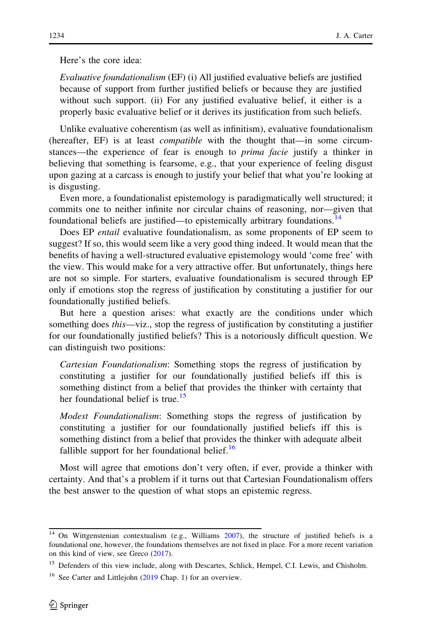### Here's the core idea:

Evaluative foundationalism (EF) (i) All justified evaluative beliefs are justified because of support from further justified beliefs or because they are justified without such support. (ii) For any justified evaluative belief, it either is a properly basic evaluative belief or it derives its justification from such beliefs.

Unlike evaluative coherentism (as well as infinitism), evaluative foundationalism (hereafter, EF) is at least compatible with the thought that—in some circumstances—the experience of fear is enough to prima facie justify a thinker in believing that something is fearsome, e.g., that your experience of feeling disgust upon gazing at a carcass is enough to justify your belief that what you're looking at is disgusting.

Even more, a foundationalist epistemology is paradigmatically well structured; it commits one to neither infinite nor circular chains of reasoning, nor—given that foundational beliefs are justified—to epistemically arbitrary foundations.<sup>14</sup>

Does EP *entail* evaluative foundationalism, as some proponents of EP seem to suggest? If so, this would seem like a very good thing indeed. It would mean that the benefits of having a well-structured evaluative epistemology would 'come free' with the view. This would make for a very attractive offer. But unfortunately, things here are not so simple. For starters, evaluative foundationalism is secured through EP only if emotions stop the regress of justification by constituting a justifier for our foundationally justified beliefs.

But here a question arises: what exactly are the conditions under which something does this—viz., stop the regress of justification by constituting a justifier for our foundationally justified beliefs? This is a notoriously difficult question. We can distinguish two positions:

Cartesian Foundationalism: Something stops the regress of justification by constituting a justifier for our foundationally justified beliefs iff this is something distinct from a belief that provides the thinker with certainty that her foundational belief is true.<sup>15</sup>

Modest Foundationalism: Something stops the regress of justification by constituting a justifier for our foundationally justified beliefs iff this is something distinct from a belief that provides the thinker with adequate albeit fallible support for her foundational belief.<sup>16</sup>

Most will agree that emotions don't very often, if ever, provide a thinker with certainty. And that's a problem if it turns out that Cartesian Foundationalism offers the best answer to the question of what stops an epistemic regress.

<sup>&</sup>lt;sup>14</sup> On Wittgenstenian contextualism (e.g., Williams [2007\)](#page-25-0), the structure of justified beliefs is a foundational one, however, the foundations themselves are not fixed in place. For a more recent variation on this kind of view, see Greco ([2017\)](#page-24-0).

<sup>&</sup>lt;sup>15</sup> Defenders of this view include, along with Descartes, Schlick, Hempel, C.I. Lewis, and Chisholm.

<sup>&</sup>lt;sup>16</sup> See Carter and Littlejohn ([2019](#page-23-0) Chap. 1) for an overview.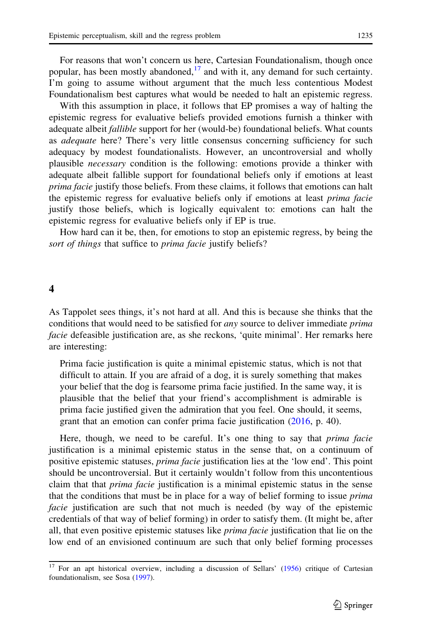For reasons that won't concern us here, Cartesian Foundationalism, though once popular, has been mostly abandoned,  $17$  and with it, any demand for such certainty. I'm going to assume without argument that the much less contentious Modest Foundationalism best captures what would be needed to halt an epistemic regress.

With this assumption in place, it follows that EP promises a way of halting the epistemic regress for evaluative beliefs provided emotions furnish a thinker with adequate albeit fallible support for her (would-be) foundational beliefs. What counts as *adequate* here? There's very little consensus concerning sufficiency for such adequacy by modest foundationalists. However, an uncontroversial and wholly plausible necessary condition is the following: emotions provide a thinker with adequate albeit fallible support for foundational beliefs only if emotions at least prima facie justify those beliefs. From these claims, it follows that emotions can halt the epistemic regress for evaluative beliefs only if emotions at least prima facie justify those beliefs, which is logically equivalent to: emotions can halt the epistemic regress for evaluative beliefs only if EP is true.

How hard can it be, then, for emotions to stop an epistemic regress, by being the sort of things that suffice to prima facie justify beliefs?

#### 4

As Tappolet sees things, it's not hard at all. And this is because she thinks that the conditions that would need to be satisfied for any source to deliver immediate prima facie defeasible justification are, as she reckons, 'quite minimal'. Her remarks here are interesting:

Prima facie justification is quite a minimal epistemic status, which is not that difficult to attain. If you are afraid of a dog, it is surely something that makes your belief that the dog is fearsome prima facie justified. In the same way, it is plausible that the belief that your friend's accomplishment is admirable is prima facie justified given the admiration that you feel. One should, it seems, grant that an emotion can confer prima facie justification [\(2016](#page-25-0), p. 40).

Here, though, we need to be careful. It's one thing to say that *prima facie* justification is a minimal epistemic status in the sense that, on a continuum of positive epistemic statuses, prima facie justification lies at the 'low end'. This point should be uncontroversial. But it certainly wouldn't follow from this uncontentious claim that that prima facie justification is a minimal epistemic status in the sense that the conditions that must be in place for a way of belief forming to issue prima facie justification are such that not much is needed (by way of the epistemic credentials of that way of belief forming) in order to satisfy them. (It might be, after all, that even positive epistemic statuses like prima facie justification that lie on the low end of an envisioned continuum are such that only belief forming processes

<sup>&</sup>lt;sup>17</sup> For an apt historical overview, including a discussion of Sellars' [\(1956](#page-24-0)) critique of Cartesian foundationalism, see Sosa ([1997\)](#page-24-0).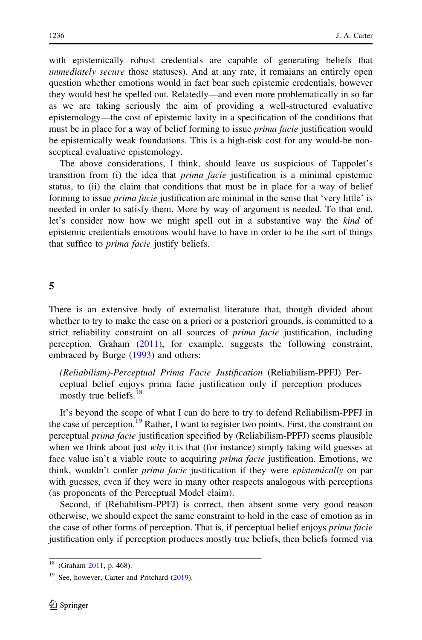with epistemically robust credentials are capable of generating beliefs that immediately secure those statuses). And at any rate, it remaians an entirely open question whether emotions would in fact bear such epistemic credentials, however they would best be spelled out. Relatedly—and even more problematically in so far as we are taking seriously the aim of providing a well-structured evaluative epistemology—the cost of epistemic laxity in a specification of the conditions that must be in place for a way of belief forming to issue *prima facie* justification would be epistemically weak foundations. This is a high-risk cost for any would-be nonsceptical evaluative epistemology.

The above considerations, I think, should leave us suspicious of Tappolet's transition from (i) the idea that prima facie justification is a minimal epistemic status, to (ii) the claim that conditions that must be in place for a way of belief forming to issue *prima facie* justification are minimal in the sense that 'very little' is needed in order to satisfy them. More by way of argument is needed. To that end, let's consider now how we might spell out in a substantive way the kind of epistemic credentials emotions would have to have in order to be the sort of things that suffice to *prima facie* justify beliefs.

## 5

There is an extensive body of externalist literature that, though divided about whether to try to make the case on a priori or a posteriori grounds, is committed to a strict reliability constraint on all sources of *prima facie* justification, including perception. Graham [\(2011](#page-24-0)), for example, suggests the following constraint, embraced by Burge ([1993\)](#page-23-0) and others:

(Reliabilism)-Perceptual Prima Facie Justification (Reliabilism-PPFJ) Perceptual belief enjoys prima facie justification only if perception produces mostly true beliefs.<sup>18</sup>

It's beyond the scope of what I can do here to try to defend Reliabilism-PPFJ in the case of perception.<sup>19</sup> Rather, I want to register two points. First, the constraint on perceptual prima facie justification specified by (Reliabilism-PPFJ) seems plausible when we think about just *why* it is that (for instance) simply taking wild guesses at face value isn't a viable route to acquiring *prima facie* justification. Emotions, we think, wouldn't confer prima facie justification if they were epistemically on par with guesses, even if they were in many other respects analogous with perceptions (as proponents of the Perceptual Model claim).

Second, if (Reliabilism-PPFJ) is correct, then absent some very good reason otherwise, we should expect the same constraint to hold in the case of emotion as in the case of other forms of perception. That is, if perceptual belief enjoys *prima facie* justification only if perception produces mostly true beliefs, then beliefs formed via

<sup>&</sup>lt;sup>18</sup> (Graham [2011,](#page-24-0) p. 468).

<sup>&</sup>lt;sup>19</sup> See, however, Carter and Pritchard [\(2019](#page-23-0)).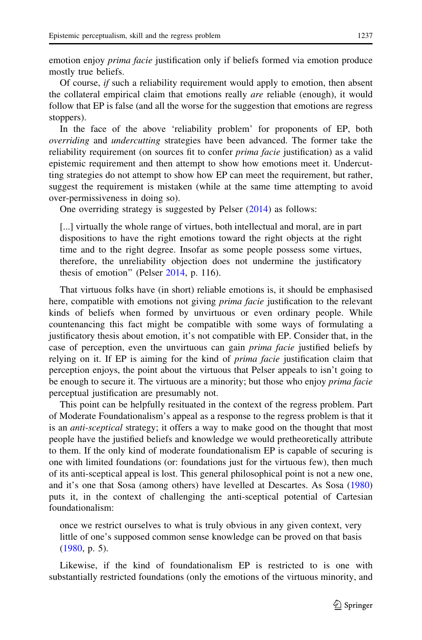emotion enjoy *prima facie* justification only if beliefs formed via emotion produce mostly true beliefs.

Of course, if such a reliability requirement would apply to emotion, then absent the collateral empirical claim that emotions really are reliable (enough), it would follow that EP is false (and all the worse for the suggestion that emotions are regress stoppers).

In the face of the above 'reliability problem' for proponents of EP, both overriding and undercutting strategies have been advanced. The former take the reliability requirement (on sources fit to confer prima facie justification) as a valid epistemic requirement and then attempt to show how emotions meet it. Undercutting strategies do not attempt to show how EP can meet the requirement, but rather, suggest the requirement is mistaken (while at the same time attempting to avoid over-permissiveness in doing so).

One overriding strategy is suggested by Pelser [\(2014](#page-24-0)) as follows:

[...] virtually the whole range of virtues, both intellectual and moral, are in part dispositions to have the right emotions toward the right objects at the right time and to the right degree. Insofar as some people possess some virtues, therefore, the unreliability objection does not undermine the justificatory thesis of emotion'' (Pelser [2014,](#page-24-0) p. 116).

That virtuous folks have (in short) reliable emotions is, it should be emphasised here, compatible with emotions not giving *prima facie* justification to the relevant kinds of beliefs when formed by unvirtuous or even ordinary people. While countenancing this fact might be compatible with some ways of formulating a justificatory thesis about emotion, it's not compatible with EP. Consider that, in the case of perception, even the unvirtuous can gain prima facie justified beliefs by relying on it. If EP is aiming for the kind of *prima facie* justification claim that perception enjoys, the point about the virtuous that Pelser appeals to isn't going to be enough to secure it. The virtuous are a minority; but those who enjoy *prima facie* perceptual justification are presumably not.

This point can be helpfully resituated in the context of the regress problem. Part of Moderate Foundationalism's appeal as a response to the regress problem is that it is an *anti-sceptical* strategy; it offers a way to make good on the thought that most people have the justified beliefs and knowledge we would pretheoretically attribute to them. If the only kind of moderate foundationalism EP is capable of securing is one with limited foundations (or: foundations just for the virtuous few), then much of its anti-sceptical appeal is lost. This general philosophical point is not a new one, and it's one that Sosa (among others) have levelled at Descartes. As Sosa [\(1980](#page-24-0)) puts it, in the context of challenging the anti-sceptical potential of Cartesian foundationalism:

once we restrict ourselves to what is truly obvious in any given context, very little of one's supposed common sense knowledge can be proved on that basis ([1980,](#page-24-0) p. 5).

Likewise, if the kind of foundationalism EP is restricted to is one with substantially restricted foundations (only the emotions of the virtuous minority, and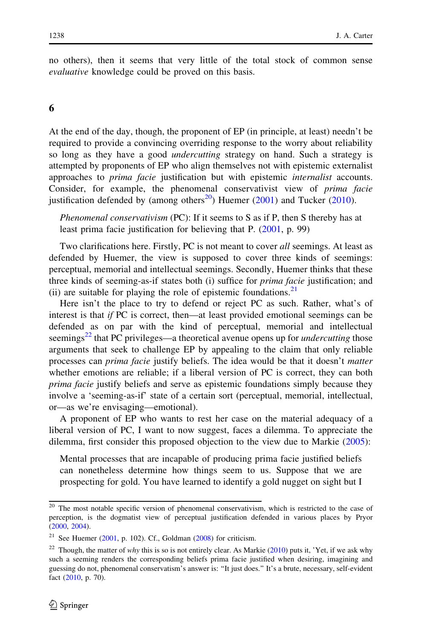no others), then it seems that very little of the total stock of common sense evaluative knowledge could be proved on this basis.

## 6

At the end of the day, though, the proponent of EP (in principle, at least) needn't be required to provide a convincing overriding response to the worry about reliability so long as they have a good *undercutting* strategy on hand. Such a strategy is attempted by proponents of EP who align themselves not with epistemic externalist approaches to *prima facie* justification but with epistemic *internalist* accounts. Consider, for example, the phenomenal conservativist view of prima facie justification defended by (among others<sup>20</sup>) Huemer [\(2001](#page-24-0)) and Tucker ([2010\)](#page-25-0).

Phenomenal conservativism (PC): If it seems to S as if P, then S thereby has at least prima facie justification for believing that P. ([2001,](#page-24-0) p. 99)

Two clarifications here. Firstly, PC is not meant to cover all seemings. At least as defended by Huemer, the view is supposed to cover three kinds of seemings: perceptual, memorial and intellectual seemings. Secondly, Huemer thinks that these three kinds of seeming-as-if states both (i) suffice for *prima facie* justification; and (ii) are suitable for playing the role of epistemic foundations.  $21$ 

Here isn't the place to try to defend or reject PC as such. Rather, what's of interest is that if PC is correct, then—at least provided emotional seemings can be defended as on par with the kind of perceptual, memorial and intellectual seemings<sup>22</sup> that PC privileges—a theoretical avenue opens up for *undercutting* those arguments that seek to challenge EP by appealing to the claim that only reliable processes can prima facie justify beliefs. The idea would be that it doesn't matter whether emotions are reliable; if a liberal version of PC is correct, they can both prima facie justify beliefs and serve as epistemic foundations simply because they involve a 'seeming-as-if' state of a certain sort (perceptual, memorial, intellectual, or—as we're envisaging—emotional).

A proponent of EP who wants to rest her case on the material adequacy of a liberal version of PC, I want to now suggest, faces a dilemma. To appreciate the dilemma, first consider this proposed objection to the view due to Markie [\(2005](#page-24-0)):

Mental processes that are incapable of producing prima facie justified beliefs can nonetheless determine how things seem to us. Suppose that we are prospecting for gold. You have learned to identify a gold nugget on sight but I

<sup>&</sup>lt;sup>20</sup> The most notable specific version of phenomenal conservativism, which is restricted to the case of perception, is the dogmatist view of perceptual justification defended in various places by Pryor ([2000,](#page-24-0) [2004](#page-24-0)).

<sup>&</sup>lt;sup>21</sup> See Huemer [\(2001](#page-24-0), p. 102). Cf., Goldman ([2008\)](#page-24-0) for criticism.

<sup>&</sup>lt;sup>22</sup> Though, the matter of why this is so is not entirely clear. As Markie [\(2010](#page-24-0)) puts it, 'Yet, if we ask why such a seeming renders the corresponding beliefs prima facie justified when desiring, imagining and guessing do not, phenomenal conservatism's answer is: ''It just does.'' It's a brute, necessary, self-evident fact [\(2010](#page-24-0), p. 70).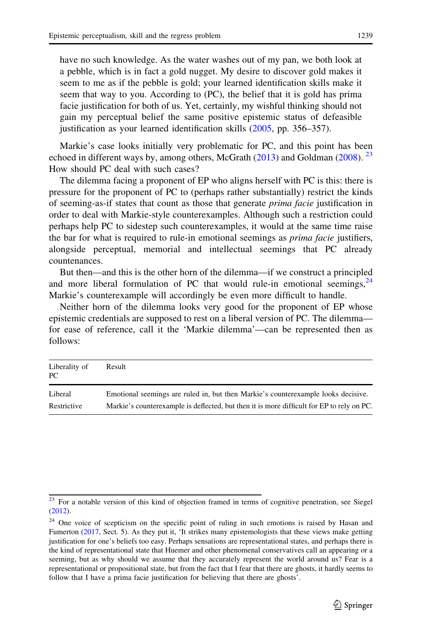have no such knowledge. As the water washes out of my pan, we both look at a pebble, which is in fact a gold nugget. My desire to discover gold makes it seem to me as if the pebble is gold; your learned identification skills make it seem that way to you. According to (PC), the belief that it is gold has prima facie justification for both of us. Yet, certainly, my wishful thinking should not gain my perceptual belief the same positive epistemic status of defeasible justification as your learned identification skills [\(2005](#page-24-0), pp. 356–357).

Markie's case looks initially very problematic for PC, and this point has been echoed in different ways by, among others, McGrath  $(2013)$  $(2013)$  and Goldman  $(2008)$  $(2008)$ . <sup>23</sup> How should PC deal with such cases?

The dilemma facing a proponent of EP who aligns herself with PC is this: there is pressure for the proponent of PC to (perhaps rather substantially) restrict the kinds of seeming-as-if states that count as those that generate prima facie justification in order to deal with Markie-style counterexamples. Although such a restriction could perhaps help PC to sidestep such counterexamples, it would at the same time raise the bar for what is required to rule-in emotional seemings as *prima facie* justifiers, alongside perceptual, memorial and intellectual seemings that PC already countenances.

But then—and this is the other horn of the dilemma—if we construct a principled and more liberal formulation of PC that would rule-in emotional seemings,  $24$ Markie's counterexample will accordingly be even more difficult to handle.

Neither horn of the dilemma looks very good for the proponent of EP whose epistemic credentials are supposed to rest on a liberal version of PC. The dilemma for ease of reference, call it the 'Markie dilemma'—can be represented then as follows:

| Liberality of<br>PC. | Result                                                                                    |
|----------------------|-------------------------------------------------------------------------------------------|
| Liberal              | Emotional seemings are ruled in, but then Markie's counterexample looks decisive.         |
| Restrictive          | Markie's counterexample is deflected, but then it is more difficult for EP to rely on PC. |

<sup>&</sup>lt;sup>23</sup> For a notable version of this kind of objection framed in terms of cognitive penetration, see Siegel ([2012\)](#page-24-0).

<sup>&</sup>lt;sup>24</sup> One voice of scepticism on the specific point of ruling in such emotions is raised by Hasan and Fumerton [\(2017](#page-24-0), Sect. 5). As they put it, 'It strikes many epistemologists that these views make getting justification for one's beliefs too easy. Perhaps sensations are representational states, and perhaps there is the kind of representational state that Huemer and other phenomenal conservatives call an appearing or a seeming, but as why should we assume that they accurately represent the world around us? Fear is a representational or propositional state, but from the fact that I fear that there are ghosts, it hardly seems to follow that I have a prima facie justification for believing that there are ghosts'.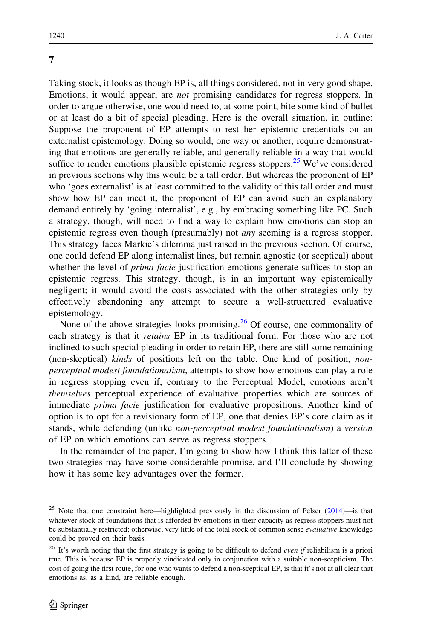Taking stock, it looks as though EP is, all things considered, not in very good shape. Emotions, it would appear, are not promising candidates for regress stoppers. In order to argue otherwise, one would need to, at some point, bite some kind of bullet or at least do a bit of special pleading. Here is the overall situation, in outline: Suppose the proponent of EP attempts to rest her epistemic credentials on an externalist epistemology. Doing so would, one way or another, require demonstrating that emotions are generally reliable, and generally reliable in a way that would suffice to render emotions plausible epistemic regress stoppers.<sup>25</sup> We've considered in previous sections why this would be a tall order. But whereas the proponent of EP who 'goes externalist' is at least committed to the validity of this tall order and must show how EP can meet it, the proponent of EP can avoid such an explanatory demand entirely by 'going internalist', e.g., by embracing something like PC. Such a strategy, though, will need to find a way to explain how emotions can stop an epistemic regress even though (presumably) not *any* seeming is a regress stopper. This strategy faces Markie's dilemma just raised in the previous section. Of course, one could defend EP along internalist lines, but remain agnostic (or sceptical) about whether the level of *prima facie* justification emotions generate suffices to stop an epistemic regress. This strategy, though, is in an important way epistemically negligent; it would avoid the costs associated with the other strategies only by effectively abandoning any attempt to secure a well-structured evaluative epistemology.

None of the above strategies looks promising.<sup>26</sup> Of course, one commonality of each strategy is that it *retains* EP in its traditional form. For those who are not inclined to such special pleading in order to retain EP, there are still some remaining (non-skeptical) kinds of positions left on the table. One kind of position, nonperceptual modest foundationalism, attempts to show how emotions can play a role in regress stopping even if, contrary to the Perceptual Model, emotions aren't themselves perceptual experience of evaluative properties which are sources of immediate *prima facie* justification for evaluative propositions. Another kind of option is to opt for a revisionary form of EP, one that denies EP's core claim as it stands, while defending (unlike non-perceptual modest foundationalism) a version of EP on which emotions can serve as regress stoppers.

In the remainder of the paper, I'm going to show how I think this latter of these two strategies may have some considerable promise, and I'll conclude by showing how it has some key advantages over the former.

7

<sup>&</sup>lt;sup>25</sup> Note that one constraint here—highlighted previously in the discussion of Pelser ([2014\)](#page-24-0)—is that whatever stock of foundations that is afforded by emotions in their capacity as regress stoppers must not be substantially restricted; otherwise, very little of the total stock of common sense evaluative knowledge could be proved on their basis.

 $26$  It's worth noting that the first strategy is going to be difficult to defend *even if* reliabilism is a priori true. This is because EP is properly vindicated only in conjunction with a suitable non-scepticism. The cost of going the first route, for one who wants to defend a non-sceptical EP, is that it's not at all clear that emotions as, as a kind, are reliable enough.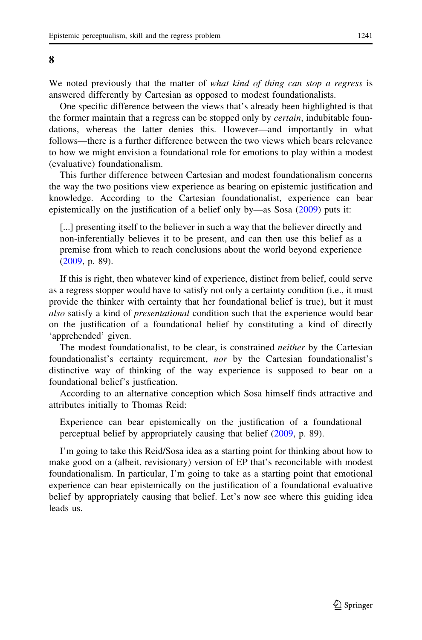8

We noted previously that the matter of *what kind of thing can stop a regress* is answered differently by Cartesian as opposed to modest foundationalists.

One specific difference between the views that's already been highlighted is that the former maintain that a regress can be stopped only by *certain*, indubitable foundations, whereas the latter denies this. However—and importantly in what follows—there is a further difference between the two views which bears relevance to how we might envision a foundational role for emotions to play within a modest (evaluative) foundationalism.

This further difference between Cartesian and modest foundationalism concerns the way the two positions view experience as bearing on epistemic justification and knowledge. According to the Cartesian foundationalist, experience can bear epistemically on the justification of a belief only by—as Sosa [\(2009](#page-24-0)) puts it:

[...] presenting itself to the believer in such a way that the believer directly and non-inferentially believes it to be present, and can then use this belief as a premise from which to reach conclusions about the world beyond experience ([2009,](#page-24-0) p. 89).

If this is right, then whatever kind of experience, distinct from belief, could serve as a regress stopper would have to satisfy not only a certainty condition (i.e., it must provide the thinker with certainty that her foundational belief is true), but it must also satisfy a kind of presentational condition such that the experience would bear on the justification of a foundational belief by constituting a kind of directly 'apprehended' given.

The modest foundationalist, to be clear, is constrained *neither* by the Cartesian foundationalist's certainty requirement, nor by the Cartesian foundationalist's distinctive way of thinking of the way experience is supposed to bear on a foundational belief's justfication.

According to an alternative conception which Sosa himself finds attractive and attributes initially to Thomas Reid:

Experience can bear epistemically on the justification of a foundational perceptual belief by appropriately causing that belief ([2009,](#page-24-0) p. 89).

I'm going to take this Reid/Sosa idea as a starting point for thinking about how to make good on a (albeit, revisionary) version of EP that's reconcilable with modest foundationalism. In particular, I'm going to take as a starting point that emotional experience can bear epistemically on the justification of a foundational evaluative belief by appropriately causing that belief. Let's now see where this guiding idea leads us.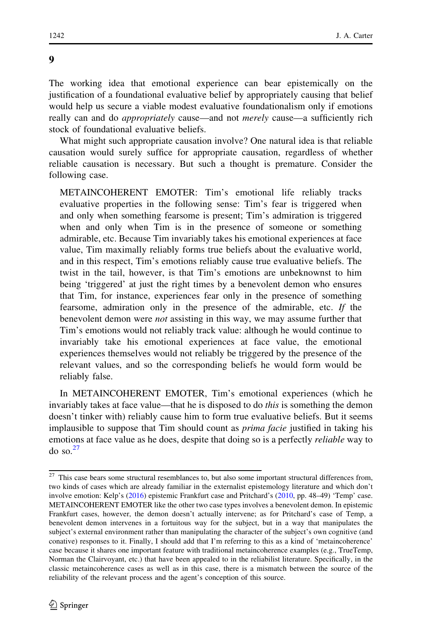The working idea that emotional experience can bear epistemically on the justification of a foundational evaluative belief by appropriately causing that belief would help us secure a viable modest evaluative foundationalism only if emotions really can and do *appropriately* cause—and not *merely* cause—a sufficiently rich stock of foundational evaluative beliefs.

What might such appropriate causation involve? One natural idea is that reliable causation would surely suffice for appropriate causation, regardless of whether reliable causation is necessary. But such a thought is premature. Consider the following case.

METAINCOHERENT EMOTER: Tim's emotional life reliably tracks evaluative properties in the following sense: Tim's fear is triggered when and only when something fearsome is present; Tim's admiration is triggered when and only when Tim is in the presence of someone or something admirable, etc. Because Tim invariably takes his emotional experiences at face value, Tim maximally reliably forms true beliefs about the evaluative world, and in this respect, Tim's emotions reliably cause true evaluative beliefs. The twist in the tail, however, is that Tim's emotions are unbeknownst to him being 'triggered' at just the right times by a benevolent demon who ensures that Tim, for instance, experiences fear only in the presence of something fearsome, admiration only in the presence of the admirable, etc. If the benevolent demon were not assisting in this way, we may assume further that Tim's emotions would not reliably track value: although he would continue to invariably take his emotional experiences at face value, the emotional experiences themselves would not reliably be triggered by the presence of the relevant values, and so the corresponding beliefs he would form would be reliably false.

In METAINCOHERENT EMOTER, Tim's emotional experiences (which he invariably takes at face value—that he is disposed to do this is something the demon doesn't tinker with) reliably cause him to form true evaluative beliefs. But it seems implausible to suppose that Tim should count as *prima facie* justified in taking his emotions at face value as he does, despite that doing so is a perfectly *reliable* way to  $\log 27$ 

9

 $27$  This case bears some structural resemblances to, but also some important structural differences from, two kinds of cases which are already familiar in the externalist epistemology literature and which don't involve emotion: Kelp's ([2016\)](#page-24-0) epistemic Frankfurt case and Pritchard's [\(2010](#page-24-0), pp. 48–49) 'Temp' case. METAINCOHERENT EMOTER like the other two case types involves a benevolent demon. In epistemic Frankfurt cases, however, the demon doesn't actually intervene; as for Pritchard's case of Temp, a benevolent demon intervenes in a fortuitous way for the subject, but in a way that manipulates the subject's external environment rather than manipulating the character of the subject's own cognitive (and conative) responses to it. Finally, I should add that I'm referring to this as a kind of 'metaincoherence' case because it shares one important feature with traditional metaincoherence examples (e.g., TrueTemp, Norman the Clairvoyant, etc.) that have been appealed to in the reliabilist literature. Specifically, in the classic metaincoherence cases as well as in this case, there is a mismatch between the source of the reliability of the relevant process and the agent's conception of this source.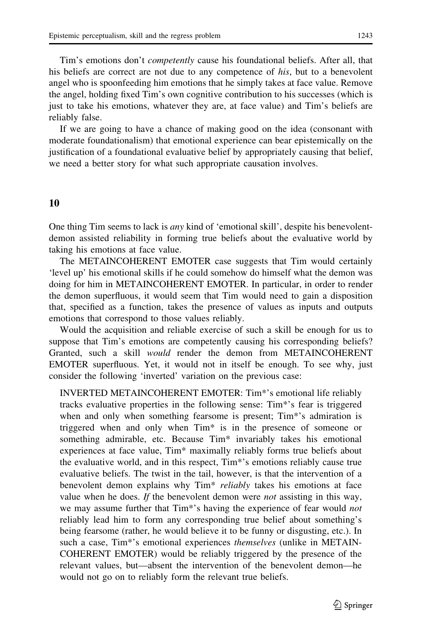Tim's emotions don't competently cause his foundational beliefs. After all, that his beliefs are correct are not due to any competence of his, but to a benevolent angel who is spoonfeeding him emotions that he simply takes at face value. Remove the angel, holding fixed Tim's own cognitive contribution to his successes (which is just to take his emotions, whatever they are, at face value) and Tim's beliefs are reliably false.

If we are going to have a chance of making good on the idea (consonant with moderate foundationalism) that emotional experience can bear epistemically on the justification of a foundational evaluative belief by appropriately causing that belief, we need a better story for what such appropriate causation involves.

## 10

One thing Tim seems to lack is *any* kind of 'emotional skill', despite his benevolentdemon assisted reliability in forming true beliefs about the evaluative world by taking his emotions at face value.

The METAINCOHERENT EMOTER case suggests that Tim would certainly 'level up' his emotional skills if he could somehow do himself what the demon was doing for him in METAINCOHERENT EMOTER. In particular, in order to render the demon superfluous, it would seem that Tim would need to gain a disposition that, specified as a function, takes the presence of values as inputs and outputs emotions that correspond to those values reliably.

Would the acquisition and reliable exercise of such a skill be enough for us to suppose that Tim's emotions are competently causing his corresponding beliefs? Granted, such a skill would render the demon from METAINCOHERENT EMOTER superfluous. Yet, it would not in itself be enough. To see why, just consider the following 'inverted' variation on the previous case:

INVERTED METAINCOHERENT EMOTER: Tim\*'s emotional life reliably tracks evaluative properties in the following sense: Tim\*'s fear is triggered when and only when something fearsome is present; Tim\*'s admiration is triggered when and only when Tim\* is in the presence of someone or something admirable, etc. Because Tim\* invariably takes his emotional experiences at face value, Tim\* maximally reliably forms true beliefs about the evaluative world, and in this respect, Tim\*'s emotions reliably cause true evaluative beliefs. The twist in the tail, however, is that the intervention of a benevolent demon explains why Tim\* reliably takes his emotions at face value when he does. If the benevolent demon were not assisting in this way, we may assume further that Tim\*'s having the experience of fear would *not* reliably lead him to form any corresponding true belief about something's being fearsome (rather, he would believe it to be funny or disgusting, etc.). In such a case, Tim\*'s emotional experiences *themselves* (unlike in METAIN-COHERENT EMOTER) would be reliably triggered by the presence of the relevant values, but—absent the intervention of the benevolent demon—he would not go on to reliably form the relevant true beliefs.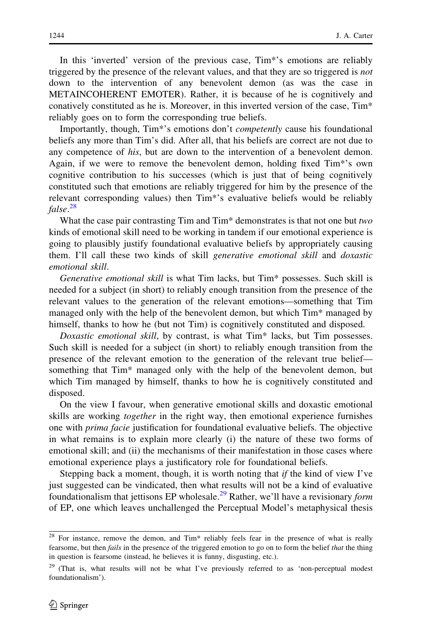In this 'inverted' version of the previous case, Tim\*'s emotions are reliably triggered by the presence of the relevant values, and that they are so triggered is not down to the intervention of any benevolent demon (as was the case in METAINCOHERENT EMOTER). Rather, it is because of he is cognitively and conatively constituted as he is. Moreover, in this inverted version of the case, Tim\* reliably goes on to form the corresponding true beliefs.

Importantly, though, Tim\*'s emotions don't competently cause his foundational beliefs any more than Tim's did. After all, that his beliefs are correct are not due to any competence of his, but are down to the intervention of a benevolent demon. Again, if we were to remove the benevolent demon, holding fixed Tim\*'s own cognitive contribution to his successes (which is just that of being cognitively constituted such that emotions are reliably triggered for him by the presence of the relevant corresponding values) then Tim\*'s evaluative beliefs would be reliably false. 28

What the case pair contrasting Tim and Tim\* demonstrates is that not one but  $two$ kinds of emotional skill need to be working in tandem if our emotional experience is going to plausibly justify foundational evaluative beliefs by appropriately causing them. I'll call these two kinds of skill generative emotional skill and doxastic emotional skill.

Generative emotional skill is what Tim lacks, but Tim\* possesses. Such skill is needed for a subject (in short) to reliably enough transition from the presence of the relevant values to the generation of the relevant emotions—something that Tim managed only with the help of the benevolent demon, but which Tim\* managed by himself, thanks to how he (but not Tim) is cognitively constituted and disposed.

Doxastic emotional skill, by contrast, is what Tim\* lacks, but Tim possesses. Such skill is needed for a subject (in short) to reliably enough transition from the presence of the relevant emotion to the generation of the relevant true belief something that Tim\* managed only with the help of the benevolent demon, but which Tim managed by himself, thanks to how he is cognitively constituted and disposed.

On the view I favour, when generative emotional skills and doxastic emotional skills are working together in the right way, then emotional experience furnishes one with prima facie justification for foundational evaluative beliefs. The objective in what remains is to explain more clearly (i) the nature of these two forms of emotional skill; and (ii) the mechanisms of their manifestation in those cases where emotional experience plays a justificatory role for foundational beliefs.

Stepping back a moment, though, it is worth noting that if the kind of view I've just suggested can be vindicated, then what results will not be a kind of evaluative foundationalism that jettisons EP wholesale.<sup>29</sup> Rather, we'll have a revisionary form of EP, one which leaves unchallenged the Perceptual Model's metaphysical thesis

<sup>&</sup>lt;sup>28</sup> For instance, remove the demon, and Tim\* reliably feels fear in the presence of what is really fearsome, but then *fails* in the presence of the triggered emotion to go on to form the belief *that* the thing in question is fearsome (instead, he believes it is funny, disgusting, etc.).

<sup>&</sup>lt;sup>29</sup> (That is, what results will not be what I've previously referred to as 'non-perceptual modest foundationalism').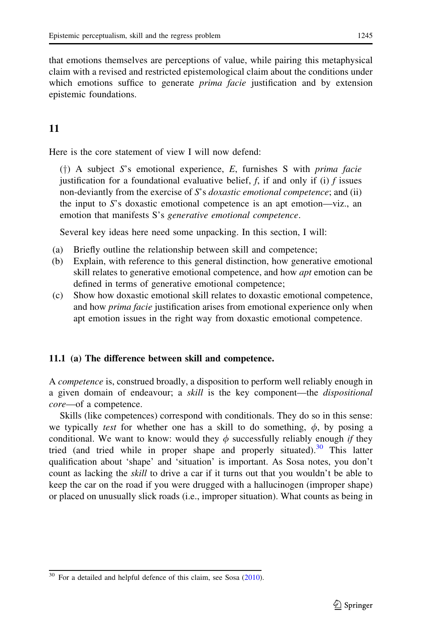that emotions themselves are perceptions of value, while pairing this metaphysical claim with a revised and restricted epistemological claim about the conditions under which emotions suffice to generate *prima facie* justification and by extension epistemic foundations.

## 11

Here is the core statement of view I will now defend:

 $(+)$  A subject S's emotional experience, E, furnishes S with *prima facie* justification for a foundational evaluative belief,  $f$ , if and only if (i)  $f$  issues non-deviantly from the exercise of S's *doxastic emotional competence*; and (ii) the input to S's doxastic emotional competence is an apt emotion—viz., an emotion that manifests S's generative emotional competence.

Several key ideas here need some unpacking. In this section, I will:

- (a) Briefly outline the relationship between skill and competence;
- (b) Explain, with reference to this general distinction, how generative emotional skill relates to generative emotional competence, and how *apt* emotion can be defined in terms of generative emotional competence;
- (c) Show how doxastic emotional skill relates to doxastic emotional competence, and how *prima facie* justification arises from emotional experience only when apt emotion issues in the right way from doxastic emotional competence.

## 11.1 (a) The difference between skill and competence.

A competence is, construed broadly, a disposition to perform well reliably enough in a given domain of endeavour; a skill is the key component—the dispositional core—of a competence.

Skills (like competences) correspond with conditionals. They do so in this sense: we typically *test* for whether one has a skill to do something,  $\phi$ , by posing a conditional. We want to know: would they  $\phi$  successfully reliably enough if they tried (and tried while in proper shape and properly situated). $30$  This latter qualification about 'shape' and 'situation' is important. As Sosa notes, you don't count as lacking the *skill* to drive a car if it turns out that you wouldn't be able to keep the car on the road if you were drugged with a hallucinogen (improper shape) or placed on unusually slick roads (i.e., improper situation). What counts as being in

<sup>&</sup>lt;sup>30</sup> For a detailed and helpful defence of this claim, see Sosa ([2010\)](#page-25-0).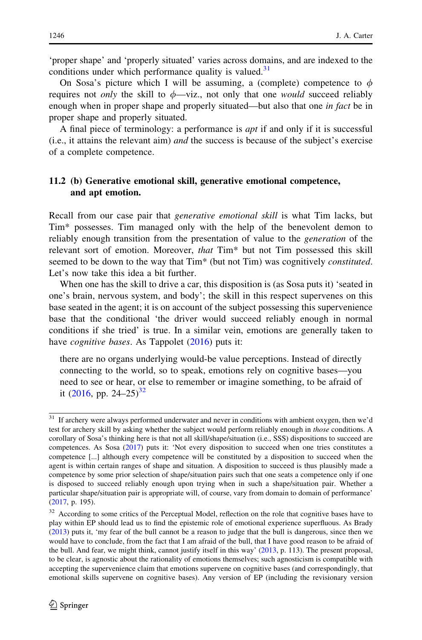'proper shape' and 'properly situated' varies across domains, and are indexed to the conditions under which performance quality is valued.<sup>31</sup>

On Sosa's picture which I will be assuming, a (complete) competence to  $\phi$ requires not *only* the skill to  $\phi$ —viz., not only that one *would* succeed reliably enough when in proper shape and properly situated—but also that one in fact be in proper shape and properly situated.

A final piece of terminology: a performance is apt if and only if it is successful (i.e., it attains the relevant aim) and the success is because of the subject's exercise of a complete competence.

## 11.2 (b) Generative emotional skill, generative emotional competence, and apt emotion.

Recall from our case pair that generative emotional skill is what Tim lacks, but Tim\* possesses. Tim managed only with the help of the benevolent demon to reliably enough transition from the presentation of value to the generation of the relevant sort of emotion. Moreover, that Tim\* but not Tim possessed this skill seemed to be down to the way that Tim<sup>\*</sup> (but not Tim) was cognitively *constituted*. Let's now take this idea a bit further.

When one has the skill to drive a car, this disposition is (as Sosa puts it) 'seated in one's brain, nervous system, and body'; the skill in this respect supervenes on this base seated in the agent; it is on account of the subject possessing this supervenience base that the conditional 'the driver would succeed reliably enough in normal conditions if she tried' is true. In a similar vein, emotions are generally taken to have *cognitive bases*. As Tappolet ([2016\)](#page-25-0) puts it:

there are no organs underlying would-be value perceptions. Instead of directly connecting to the world, so to speak, emotions rely on cognitive bases—you need to see or hear, or else to remember or imagine something, to be afraid of it  $(2016, pp. 24-25)^{32}$  $(2016, pp. 24-25)^{32}$  $(2016, pp. 24-25)^{32}$ 

<sup>&</sup>lt;sup>31</sup> If archery were always performed underwater and never in conditions with ambient oxygen, then we'd test for archery skill by asking whether the subject would perform reliably enough in those conditions. A corollary of Sosa's thinking here is that not all skill/shape/situation (i.e., SSS) dispositions to succeed are competences. As Sosa ([2017\)](#page-25-0) puts it: 'Not every disposition to succeed when one tries constitutes a competence [...] although every competence will be constituted by a disposition to succeed when the agent is within certain ranges of shape and situation. A disposition to succeed is thus plausibly made a competence by some prior selection of shape/situation pairs such that one seats a competence only if one is disposed to succeed reliably enough upon trying when in such a shape/situation pair. Whether a particular shape/situation pair is appropriate will, of course, vary from domain to domain of performance' ([2017,](#page-25-0) p. 195).

 $32$  According to some critics of the Perceptual Model, reflection on the role that cognitive bases have to play within EP should lead us to find the epistemic role of emotional experience superfluous. As Brady ([2013\)](#page-23-0) puts it, 'my fear of the bull cannot be a reason to judge that the bull is dangerous, since then we would have to conclude, from the fact that I am afraid of the bull, that I have good reason to be afraid of the bull. And fear, we might think, cannot justify itself in this way' [\(2013](#page-23-0), p. 113). The present proposal, to be clear, is agnostic about the rationality of emotions themselves; such agnosticism is compatible with accepting the supervenience claim that emotions supervene on cognitive bases (and correspondingly, that emotional skills supervene on cognitive bases). Any version of EP (including the revisionary version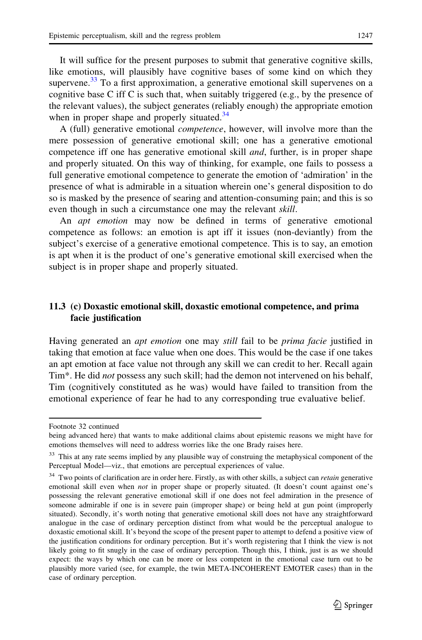It will suffice for the present purposes to submit that generative cognitive skills, like emotions, will plausibly have cognitive bases of some kind on which they supervene.<sup>33</sup> To a first approximation, a generative emotional skill supervenes on a cognitive base C iff C is such that, when suitably triggered (e.g., by the presence of the relevant values), the subject generates (reliably enough) the appropriate emotion when in proper shape and properly situated.<sup>34</sup>

A (full) generative emotional competence, however, will involve more than the mere possession of generative emotional skill; one has a generative emotional competence iff one has generative emotional skill and, further, is in proper shape and properly situated. On this way of thinking, for example, one fails to possess a full generative emotional competence to generate the emotion of 'admiration' in the presence of what is admirable in a situation wherein one's general disposition to do so is masked by the presence of searing and attention-consuming pain; and this is so even though in such a circumstance one may the relevant skill.

An *apt emotion* may now be defined in terms of generative emotional competence as follows: an emotion is apt iff it issues (non-deviantly) from the subject's exercise of a generative emotional competence. This is to say, an emotion is apt when it is the product of one's generative emotional skill exercised when the subject is in proper shape and properly situated.

## 11.3 (c) Doxastic emotional skill, doxastic emotional competence, and prima facie justification

Having generated an *apt emotion* one may *still* fail to be *prima facie* justified in taking that emotion at face value when one does. This would be the case if one takes an apt emotion at face value not through any skill we can credit to her. Recall again Tim\*. He did not possess any such skill; had the demon not intervened on his behalf, Tim (cognitively constituted as he was) would have failed to transition from the emotional experience of fear he had to any corresponding true evaluative belief.

Footnote 32 continued

being advanced here) that wants to make additional claims about epistemic reasons we might have for emotions themselves will need to address worries like the one Brady raises here.

<sup>&</sup>lt;sup>33</sup> This at any rate seems implied by any plausible way of construing the metaphysical component of the Perceptual Model—viz., that emotions are perceptual experiences of value.

<sup>&</sup>lt;sup>34</sup> Two points of clarification are in order here. Firstly, as with other skills, a subject can *retain* generative emotional skill even when not in proper shape or properly situated. (It doesn't count against one's possessing the relevant generative emotional skill if one does not feel admiration in the presence of someone admirable if one is in severe pain (improper shape) or being held at gun point (improperly situated). Secondly, it's worth noting that generative emotional skill does not have any straightforward analogue in the case of ordinary perception distinct from what would be the perceptual analogue to doxastic emotional skill. It's beyond the scope of the present paper to attempt to defend a positive view of the justification conditions for ordinary perception. But it's worth registering that I think the view is not likely going to fit snugly in the case of ordinary perception. Though this, I think, just is as we should expect: the ways by which one can be more or less competent in the emotional case turn out to be plausibly more varied (see, for example, the twin META-INCOHERENT EMOTER cases) than in the case of ordinary perception.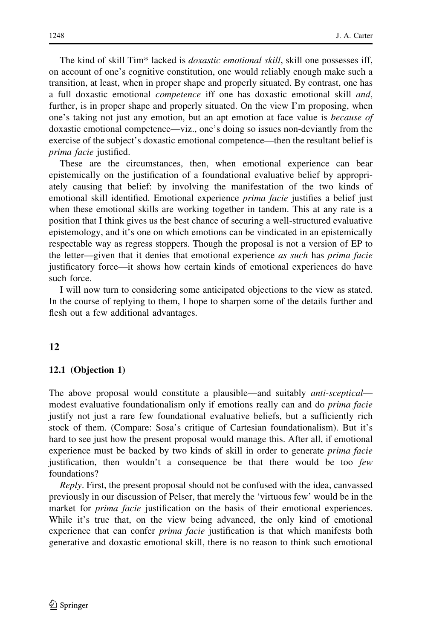The kind of skill Tim\* lacked is doxastic emotional skill, skill one possesses iff, on account of one's cognitive constitution, one would reliably enough make such a transition, at least, when in proper shape and properly situated. By contrast, one has a full doxastic emotional competence iff one has doxastic emotional skill and, further, is in proper shape and properly situated. On the view I'm proposing, when one's taking not just any emotion, but an apt emotion at face value is because of doxastic emotional competence—viz., one's doing so issues non-deviantly from the exercise of the subject's doxastic emotional competence—then the resultant belief is prima facie justified.

These are the circumstances, then, when emotional experience can bear epistemically on the justification of a foundational evaluative belief by appropriately causing that belief: by involving the manifestation of the two kinds of emotional skill identified. Emotional experience *prima facie* justifies a belief just when these emotional skills are working together in tandem. This at any rate is a position that I think gives us the best chance of securing a well-structured evaluative epistemology, and it's one on which emotions can be vindicated in an epistemically respectable way as regress stoppers. Though the proposal is not a version of EP to the letter—given that it denies that emotional experience as such has prima facie justificatory force—it shows how certain kinds of emotional experiences do have such force.

I will now turn to considering some anticipated objections to the view as stated. In the course of replying to them, I hope to sharpen some of the details further and flesh out a few additional advantages.

## 12

#### 12.1 (Objection 1)

The above proposal would constitute a plausible—and suitably anti-sceptical modest evaluative foundationalism only if emotions really can and do *prima facie* justify not just a rare few foundational evaluative beliefs, but a sufficiently rich stock of them. (Compare: Sosa's critique of Cartesian foundationalism). But it's hard to see just how the present proposal would manage this. After all, if emotional experience must be backed by two kinds of skill in order to generate prima facie justification, then wouldn't a consequence be that there would be too  $few$ foundations?

Reply. First, the present proposal should not be confused with the idea, canvassed previously in our discussion of Pelser, that merely the 'virtuous few' would be in the market for *prima facie* justification on the basis of their emotional experiences. While it's true that, on the view being advanced, the only kind of emotional experience that can confer *prima facie* justification is that which manifests both generative and doxastic emotional skill, there is no reason to think such emotional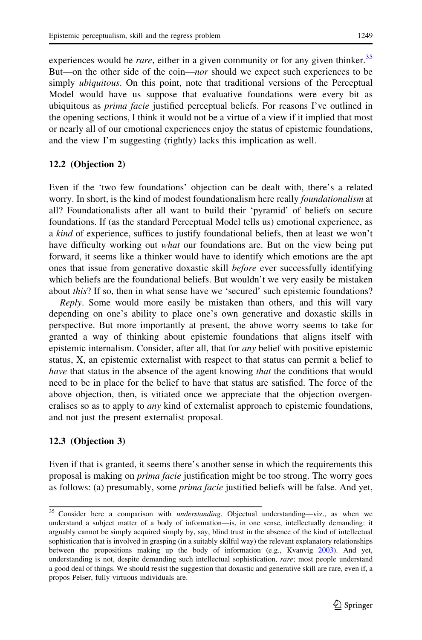experiences would be *rare*, either in a given community or for any given thinker.<sup>35</sup> But—on the other side of the coin—nor should we expect such experiences to be simply *ubiquitous*. On this point, note that traditional versions of the Perceptual Model would have us suppose that evaluative foundations were every bit as ubiquitous as *prima facie* justified perceptual beliefs. For reasons I've outlined in the opening sections, I think it would not be a virtue of a view if it implied that most or nearly all of our emotional experiences enjoy the status of epistemic foundations, and the view I'm suggesting (rightly) lacks this implication as well.

## 12.2 (Objection 2)

Even if the 'two few foundations' objection can be dealt with, there's a related worry. In short, is the kind of modest foundationalism here really foundationalism at all? Foundationalists after all want to build their 'pyramid' of beliefs on secure foundations. If (as the standard Perceptual Model tells us) emotional experience, as a kind of experience, suffices to justify foundational beliefs, then at least we won't have difficulty working out *what* our foundations are. But on the view being put forward, it seems like a thinker would have to identify which emotions are the apt ones that issue from generative doxastic skill before ever successfully identifying which beliefs are the foundational beliefs. But wouldn't we very easily be mistaken about this? If so, then in what sense have we 'secured' such epistemic foundations?

Reply. Some would more easily be mistaken than others, and this will vary depending on one's ability to place one's own generative and doxastic skills in perspective. But more importantly at present, the above worry seems to take for granted a way of thinking about epistemic foundations that aligns itself with epistemic internalism. Consider, after all, that for *any* belief with positive epistemic status, X, an epistemic externalist with respect to that status can permit a belief to have that status in the absence of the agent knowing *that* the conditions that would need to be in place for the belief to have that status are satisfied. The force of the above objection, then, is vitiated once we appreciate that the objection overgeneralises so as to apply to *any* kind of externalist approach to epistemic foundations, and not just the present externalist proposal.

## 12.3 (Objection 3)

Even if that is granted, it seems there's another sense in which the requirements this proposal is making on prima facie justification might be too strong. The worry goes as follows: (a) presumably, some prima facie justified beliefs will be false. And yet,

<sup>&</sup>lt;sup>35</sup> Consider here a comparison with *understanding*. Objectual understanding—viz., as when we understand a subject matter of a body of information—is, in one sense, intellectually demanding: it arguably cannot be simply acquired simply by, say, blind trust in the absence of the kind of intellectual sophistication that is involved in grasping (in a suitably skilful way) the relevant explanatory relationships between the propositions making up the body of information (e.g., Kvanvig [2003](#page-24-0)). And yet, understanding is not, despite demanding such intellectual sophistication, rare; most people understand a good deal of things. We should resist the suggestion that doxastic and generative skill are rare, even if, a propos Pelser, fully virtuous individuals are.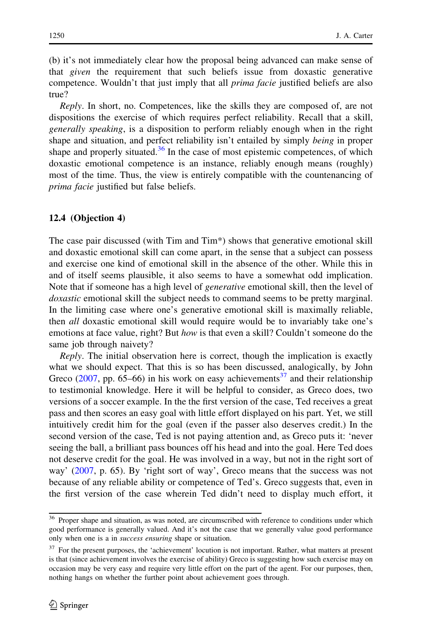(b) it's not immediately clear how the proposal being advanced can make sense of that *given* the requirement that such beliefs issue from doxastic generative competence. Wouldn't that just imply that all *prima facie* justified beliefs are also true?

Reply. In short, no. Competences, like the skills they are composed of, are not dispositions the exercise of which requires perfect reliability. Recall that a skill, generally speaking, is a disposition to perform reliably enough when in the right shape and situation, and perfect reliability isn't entailed by simply being in proper shape and properly situated.<sup>36</sup> In the case of most epistemic competences, of which doxastic emotional competence is an instance, reliably enough means (roughly) most of the time. Thus, the view is entirely compatible with the countenancing of prima facie justified but false beliefs.

## 12.4 (Objection 4)

The case pair discussed (with Tim and Tim\*) shows that generative emotional skill and doxastic emotional skill can come apart, in the sense that a subject can possess and exercise one kind of emotional skill in the absence of the other. While this in and of itself seems plausible, it also seems to have a somewhat odd implication. Note that if someone has a high level of *generative* emotional skill, then the level of doxastic emotional skill the subject needs to command seems to be pretty marginal. In the limiting case where one's generative emotional skill is maximally reliable, then all doxastic emotional skill would require would be to invariably take one's emotions at face value, right? But *how* is that even a skill? Couldn't someone do the same job through naivety?

Reply. The initial observation here is correct, though the implication is exactly what we should expect. That this is so has been discussed, analogically, by John Greco ([2007,](#page-24-0) pp. 65–66) in his work on easy achievements<sup>37</sup> and their relationship to testimonial knowledge. Here it will be helpful to consider, as Greco does, two versions of a soccer example. In the the first version of the case, Ted receives a great pass and then scores an easy goal with little effort displayed on his part. Yet, we still intuitively credit him for the goal (even if the passer also deserves credit.) In the second version of the case, Ted is not paying attention and, as Greco puts it: 'never seeing the ball, a brilliant pass bounces off his head and into the goal. Here Ted does not deserve credit for the goal. He was involved in a way, but not in the right sort of way' ([2007,](#page-24-0) p. 65). By 'right sort of way', Greco means that the success was not because of any reliable ability or competence of Ted's. Greco suggests that, even in the first version of the case wherein Ted didn't need to display much effort, it

<sup>&</sup>lt;sup>36</sup> Proper shape and situation, as was noted, are circumscribed with reference to conditions under which good performance is generally valued. And it's not the case that we generally value good performance only when one is a in success ensuring shape or situation.

<sup>&</sup>lt;sup>37</sup> For the present purposes, the 'achievement' locution is not important. Rather, what matters at present is that (since achievement involves the exercise of ability) Greco is suggesting how such exercise may on occasion may be very easy and require very little effort on the part of the agent. For our purposes, then, nothing hangs on whether the further point about achievement goes through.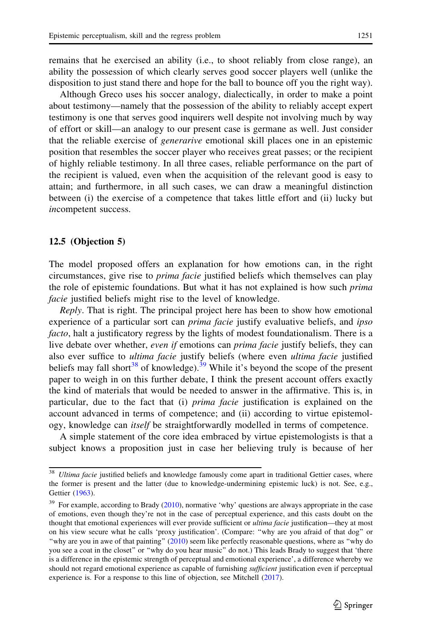remains that he exercised an ability (i.e., to shoot reliably from close range), an ability the possession of which clearly serves good soccer players well (unlike the disposition to just stand there and hope for the ball to bounce off you the right way).

Although Greco uses his soccer analogy, dialectically, in order to make a point about testimony—namely that the possession of the ability to reliably accept expert testimony is one that serves good inquirers well despite not involving much by way of effort or skill—an analogy to our present case is germane as well. Just consider that the reliable exercise of generarive emotional skill places one in an epistemic position that resembles the soccer player who receives great passes; or the recipient of highly reliable testimony. In all three cases, reliable performance on the part of the recipient is valued, even when the acquisition of the relevant good is easy to attain; and furthermore, in all such cases, we can draw a meaningful distinction between (i) the exercise of a competence that takes little effort and (ii) lucky but incompetent success.

#### 12.5 (Objection 5)

The model proposed offers an explanation for how emotions can, in the right circumstances, give rise to prima facie justified beliefs which themselves can play the role of epistemic foundations. But what it has not explained is how such *prima* facie justified beliefs might rise to the level of knowledge.

Reply. That is right. The principal project here has been to show how emotional experience of a particular sort can *prima facie* justify evaluative beliefs, and *ipso* facto, halt a justificatory regress by the lights of modest foundationalism. There is a live debate over whether, even if emotions can *prima facie* justify beliefs, they can also ever suffice to *ultima facie* justify beliefs (where even *ultima facie* justified beliefs may fall short<sup>38</sup> of knowledge).<sup>39</sup> While it's beyond the scope of the present paper to weigh in on this further debate, I think the present account offers exactly the kind of materials that would be needed to answer in the affirmative. This is, in particular, due to the fact that (i) prima facie justification is explained on the account advanced in terms of competence; and (ii) according to virtue epistemology, knowledge can itself be straightforwardly modelled in terms of competence.

A simple statement of the core idea embraced by virtue epistemologists is that a subject knows a proposition just in case her believing truly is because of her

 $38$  Ultima facie justified beliefs and knowledge famously come apart in traditional Gettier cases, where the former is present and the latter (due to knowledge-undermining epistemic luck) is not. See, e.g., Gettier ([1963](#page-24-0)).

 $39$  For example, according to Brady ( $2010$ ), normative 'why' questions are always appropriate in the case of emotions, even though they're not in the case of perceptual experience, and this casts doubt on the thought that emotional experiences will ever provide sufficient or *ultima facie* justification—they at most on his view secure what he calls 'proxy justification'. (Compare: ''why are you afraid of that dog'' or ''why are you in awe of that painting'' [\(2010](#page-23-0)) seem like perfectly reasonable questions, where as ''why do you see a coat in the closet'' or ''why do you hear music'' do not.) This leads Brady to suggest that 'there is a difference in the epistemic strength of perceptual and emotional experience', a difference whereby we should not regard emotional experience as capable of furnishing *sufficient* justification even if perceptual experience is. For a response to this line of objection, see Mitchell [\(2017](#page-24-0)).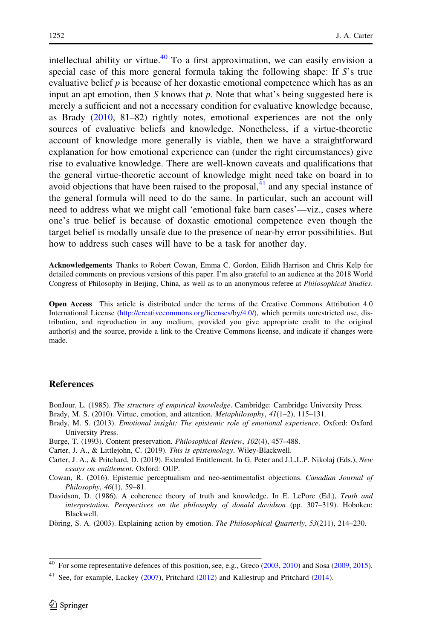<span id="page-23-0"></span>intellectual ability or virtue.<sup>40</sup> To a first approximation, we can easily envision a special case of this more general formula taking the following shape: If  $S$ 's true evaluative belief  $p$  is because of her doxastic emotional competence which has as an input an apt emotion, then S knows that  $p$ . Note that what's being suggested here is merely a sufficient and not a necessary condition for evaluative knowledge because, as Brady (2010, 81–82) rightly notes, emotional experiences are not the only sources of evaluative beliefs and knowledge. Nonetheless, if a virtue-theoretic account of knowledge more generally is viable, then we have a straightforward explanation for how emotional experience can (under the right circumstances) give rise to evaluative knowledge. There are well-known caveats and qualifications that the general virtue-theoretic account of knowledge might need take on board in to avoid objections that have been raised to the proposal, $41$  and any special instance of the general formula will need to do the same. In particular, such an account will need to address what we might call 'emotional fake barn cases'—viz., cases where one's true belief is because of doxastic emotional competence even though the target belief is modally unsafe due to the presence of near-by error possibilities. But how to address such cases will have to be a task for another day.

Acknowledgements Thanks to Robert Cowan, Emma C. Gordon, Eilidh Harrison and Chris Kelp for detailed comments on previous versions of this paper. I'm also grateful to an audience at the 2018 World Congress of Philosophy in Beijing, China, as well as to an anonymous referee at Philosophical Studies.

Open Access This article is distributed under the terms of the Creative Commons Attribution 4.0 International License ([http://creativecommons.org/licenses/by/4.0/\)](http://creativecommons.org/licenses/by/4.0/), which permits unrestricted use, distribution, and reproduction in any medium, provided you give appropriate credit to the original author(s) and the source, provide a link to the Creative Commons license, and indicate if changes were made.

## References

- BonJour, L. (1985). The structure of empirical knowledge. Cambridge: Cambridge University Press.
- Brady, M. S. (2010). Virtue, emotion, and attention. *Metaphilosophy*, 41(1–2), 115–131.
- Brady, M. S. (2013). Emotional insight: The epistemic role of emotional experience. Oxford: Oxford University Press.
- Burge, T. (1993). Content preservation. Philosophical Review, 102(4), 457–488.
- Carter, J. A., & Littlejohn, C. (2019). This is epistemology. Wiley-Blackwell.
- Carter, J. A., & Pritchard, D. (2019). Extended Entitlement. In G. Peter and J.L.L.P. Nikolaj (Eds.), New essays on entitlement. Oxford: OUP.

Cowan, R. (2016). Epistemic perceptualism and neo-sentimentalist objections. Canadian Journal of Philosophy, 46(1), 59–81.

Davidson, D. (1986). A coherence theory of truth and knowledge. In E. LePore (Ed.), Truth and interpretation. Perspectives on the philosophy of donald davidson (pp. 307–319). Hoboken: Blackwell.

Döring, S. A. (2003). Explaining action by emotion. *The Philosophical Quarterly*, 53(211), 214–230.

<sup>&</sup>lt;sup>40</sup> For some representative defences of this position, see, e.g., Greco ([2003](#page-24-0), [2010](#page-24-0)) and Sosa ([2009,](#page-24-0) [2015\)](#page-25-0).

<sup>&</sup>lt;sup>41</sup> See, for example, Lackey ([2007](#page-24-0)), Pritchard [\(2012](#page-24-0)) and Kallestrup and Pritchard [\(2014](#page-24-0)).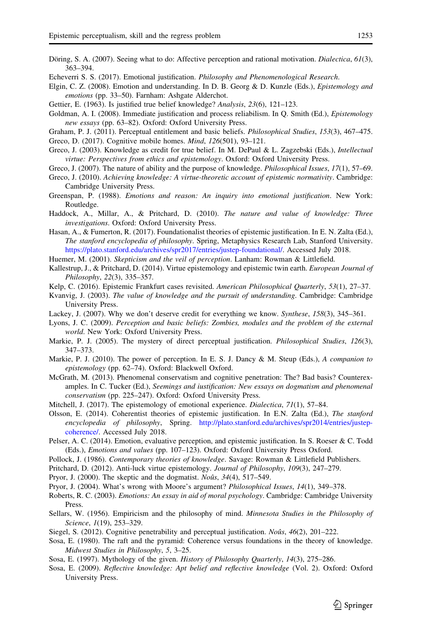- <span id="page-24-0"></span>Döring, S. A. (2007). Seeing what to do: Affective perception and rational motivation. *Dialectica*, 61(3), 363–394.
- Echeverri S. S. (2017). Emotional justification. Philosophy and Phenomenological Research.
- Elgin, C. Z. (2008). Emotion and understanding. In D. B. Georg & D. Kunzle (Eds.), Epistemology and emotions (pp. 33–50). Farnham: Ashgate Alderchot.
- Gettier, E. (1963). Is justified true belief knowledge? Analysis, 23(6), 121–123.
- Goldman, A. I. (2008). Immediate justification and process reliabilism. In Q. Smith (Ed.), Epistemology new essays (pp. 63–82). Oxford: Oxford University Press.
- Graham, P. J. (2011). Perceptual entitlement and basic beliefs. Philosophical Studies, 153(3), 467–475. Greco, D. (2017). Cognitive mobile homes. Mind, 126(501), 93–121.
- Greco, J. (2003). Knowledge as credit for true belief. In M. DePaul & L. Zagzebski (Eds.), Intellectual virtue: Perspectives from ethics and epistemology. Oxford: Oxford University Press.
- Greco, J. (2007). The nature of ability and the purpose of knowledge. *Philosophical Issues*, 17(1), 57–69.
- Greco, J. (2010). Achieving knowledge: A virtue-theoretic account of epistemic normativity. Cambridge: Cambridge University Press.
- Greenspan, P. (1988). Emotions and reason: An inquiry into emotional justification. New York: Routledge.
- Haddock, A., Millar, A., & Pritchard, D. (2010). The nature and value of knowledge: Three investigations. Oxford: Oxford University Press.
- Hasan, A., & Fumerton, R. (2017). Foundationalist theories of epistemic justification. In E. N. Zalta (Ed.), The stanford encyclopedia of philosophy. Spring, Metaphysics Research Lab, Stanford University. <https://plato.stanford.edu/archives/spr2017/entries/justep-foundational/>. Accessed July 2018.
- Huemer, M. (2001). Skepticism and the veil of perception. Lanham: Rowman & Littlefield.
- Kallestrup, J., & Pritchard, D. (2014). Virtue epistemology and epistemic twin earth. *European Journal of* Philosophy, 22(3), 335–357.
- Kelp, C. (2016). Epistemic Frankfurt cases revisited. American Philosophical Quarterly, 53(1), 27-37.
- Kvanvig, J. (2003). The value of knowledge and the pursuit of understanding. Cambridge: Cambridge University Press.
- Lackey, J. (2007). Why we don't deserve credit for everything we know. Synthese, 158(3), 345–361.
- Lyons, J. C. (2009). Perception and basic beliefs: Zombies, modules and the problem of the external world. New York: Oxford University Press.
- Markie, P. J. (2005). The mystery of direct perceptual justification. *Philosophical Studies*, 126(3), 347–373.
- Markie, P. J. (2010). The power of perception. In E. S. J. Dancy & M. Steup (Eds.), A companion to epistemology (pp. 62–74). Oxford: Blackwell Oxford.
- McGrath, M. (2013). Phenomenal conservatism and cognitive penetration: The? Bad basis? Counterexamples. In C. Tucker (Ed.), Seemings and iustification: New essays on dogmatism and phenomenal conservatism (pp. 225–247). Oxford: Oxford University Press.
- Mitchell, J. (2017). The epistemology of emotional experience. Dialectica, 71(1), 57–84.
- Olsson, E. (2014). Coherentist theories of epistemic justification. In E.N. Zalta (Ed.), The stanford encyclopedia of philosophy, Spring. [http://plato.stanford.edu/archives/spr2014/entries/justep](http://plato.stanford.edu/archives/spr2014/entries/justep-coherence/)[coherence/.](http://plato.stanford.edu/archives/spr2014/entries/justep-coherence/) Accessed July 2018.
- Pelser, A. C. (2014). Emotion, evaluative perception, and epistemic justification. In S. Roeser & C. Todd (Eds.), Emotions and values (pp. 107–123). Oxford: Oxford University Press Oxford.
- Pollock, J. (1986). Contemporary theories of knowledge. Savage: Rowman & Littlefield Publishers.
- Pritchard, D. (2012). Anti-luck virtue epistemology. Journal of Philosophy, 109(3), 247–279.
- Pryor, J. (2000). The skeptic and the dogmatist.  $N \omega \hat{u} s$ , 34(4), 517–549.
- Pryor, J. (2004). What's wrong with Moore's argument? Philosophical Issues, 14(1), 349–378.
- Roberts, R. C. (2003). Emotions: An essay in aid of moral psychology. Cambridge: Cambridge University Press.
- Sellars, W. (1956). Empiricism and the philosophy of mind. Minnesota Studies in the Philosophy of Science, 1(19), 253-329.
- Siegel, S. (2012). Cognitive penetrability and perceptual justification. *Noûs*,  $46(2)$ , 201–222.
- Sosa, E. (1980). The raft and the pyramid: Coherence versus foundations in the theory of knowledge. Midwest Studies in Philosophy, 5, 3–25.
- Sosa, E. (1997). Mythology of the given. History of Philosophy Quarterly, 14(3), 275–286.
- Sosa, E. (2009). Reflective knowledge: Apt belief and reflective knowledge (Vol. 2). Oxford: Oxford University Press.